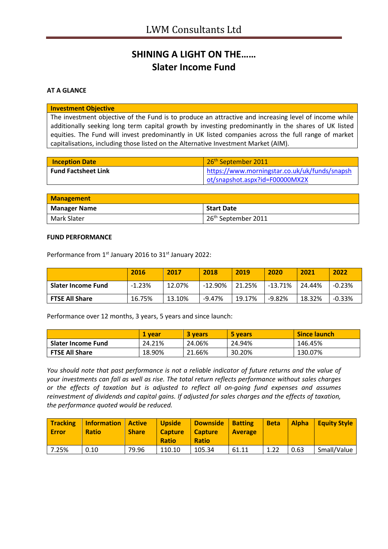## **SHINING A LIGHT ON THE…… Slater Income Fund**

## **AT A GLANCE**

### **Investment Objective**

The investment objective of the Fund is to produce an attractive and increasing level of income while additionally seeking long term capital growth by investing predominantly in the shares of UK listed equities. The Fund will invest predominantly in UK listed companies across the full range of market capitalisations, including those listed on the Alternative Investment Market (AIM).

| <b>Inception Date</b>      | 26 <sup>th</sup> September 2011               |
|----------------------------|-----------------------------------------------|
| <b>Fund Factsheet Link</b> | https://www.morningstar.co.uk/uk/funds/snapsh |
|                            | ot/snapshot.aspx?id=F00000MX2X                |

| <b>Management</b>   |                                 |
|---------------------|---------------------------------|
| <b>Manager Name</b> | <b>Start Date</b>               |
| Mark Slater         | 26 <sup>th</sup> September 2011 |

#### **FUND PERFORMANCE**

Performance from 1<sup>st</sup> January 2016 to 31<sup>st</sup> January 2022:

|                       | 2016     | 2017   | 2018       | 2019   | 2020       | 2021   | 2022     |
|-----------------------|----------|--------|------------|--------|------------|--------|----------|
| Slater Income Fund    | $-1.23%$ | 12.07% | $-12.90\%$ | 21.25% | $-13.71\%$ | 24.44% | $-0.23%$ |
| <b>FTSE All Share</b> | 16.75%   | 13.10% | -9.47%     | 19.17% | $-9.82%$   | 18.32% | $-0.33%$ |

Performance over 12 months, 3 years, 5 years and since launch:

|                       | l vear | 3 years | 5 years | <b>Since launch</b> |
|-----------------------|--------|---------|---------|---------------------|
| Slater Income Fund    | 24.21% | 24.06%  | 24.94%  | 146.45%             |
| <b>FTSE All Share</b> | 18.90% | 21.66%  | 30.20%  | 130.07%             |

*You should note that past performance is not a reliable indicator of future returns and the value of your investments can fall as well as rise. The total return reflects performance without sales charges or the effects of taxation but is adjusted to reflect all on-going fund expenses and assumes reinvestment of dividends and capital gains. If adjusted for sales charges and the effects of taxation, the performance quoted would be reduced.*

| <b>Tracking</b><br><b>Error</b> | Information<br><b>Ratio</b> | Active<br><b>Share</b> | <b>Upside</b><br><b>Capture</b><br><b>Ratio</b> | Downside<br>  Capture<br><b>Ratio</b> | <b>Batting</b><br><b>Average</b> | <b>Beta</b> | <b>Alpha</b> | Equity Style |
|---------------------------------|-----------------------------|------------------------|-------------------------------------------------|---------------------------------------|----------------------------------|-------------|--------------|--------------|
| 7.25%                           | 0.10                        | 79.96                  | 110.10                                          | 105.34                                | 61.11                            | 1.22        | 0.63         | Small/Value  |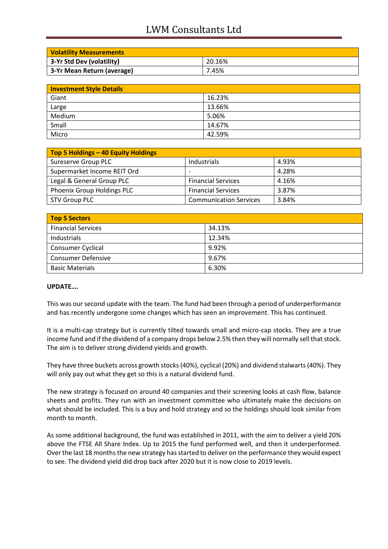# LWM Consultants Ltd

| <b>Volatility Measurements</b> |        |
|--------------------------------|--------|
| 3-Yr Std Dev (volatility)      | 20.16% |
| 3-Yr Mean Return (average)     | 7.45%  |

| <b>Investment Style Details</b> |        |  |
|---------------------------------|--------|--|
| Giant                           | 16.23% |  |
| Large                           | 13.66% |  |
| Medium                          | 5.06%  |  |
| Small                           | 14.67% |  |
| Micro                           | 42.59% |  |

| Top 5 Holdings - 40 Equity Holdings |                               |       |
|-------------------------------------|-------------------------------|-------|
| Sureserve Group PLC                 | Industrials                   | 4.93% |
| Supermarket Income REIT Ord         |                               | 4.28% |
| Legal & General Group PLC           | <b>Financial Services</b>     | 4.16% |
| Phoenix Group Holdings PLC          | <b>Financial Services</b>     | 3.87% |
| STV Group PLC                       | <b>Communication Services</b> | 3.84% |

| <b>Top 5 Sectors</b>      |        |
|---------------------------|--------|
| <b>Financial Services</b> | 34.13% |
| Industrials               | 12.34% |
| <b>Consumer Cyclical</b>  | 9.92%  |
| <b>Consumer Defensive</b> | 9.67%  |
| <b>Basic Materials</b>    | 6.30%  |

## **UPDATE….**

This was our second update with the team. The fund had been through a period of underperformance and has recently undergone some changes which has seen an improvement. This has continued.

It is a multi-cap strategy but is currently tilted towards small and micro-cap stocks. They are a true income fund and if the dividend of a company drops below 2.5% then they will normally sell that stock. The aim is to deliver strong dividend yields and growth.

They have three buckets across growth stocks (40%), cyclical (20%) and dividend stalwarts (40%). They will only pay out what they get so this is a natural dividend fund.

The new strategy is focused on around 40 companies and their screening looks at cash flow, balance sheets and profits. They run with an investment committee who ultimately make the decisions on what should be included. This is a buy and hold strategy and so the holdings should look similar from month to month.

As some additional background, the fund was established in 2011, with the aim to deliver a yield 20% above the FTSE All Share Index. Up to 2015 the fund performed well, and then it underperformed. Over the last 18 months the new strategy has started to deliver on the performance they would expect to see. The dividend yield did drop back after 2020 but it is now close to 2019 levels.